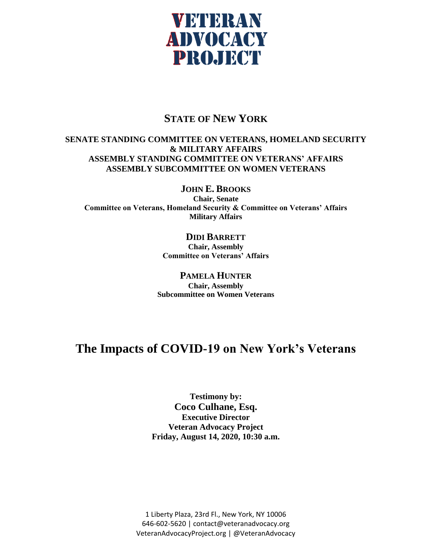

## **STATE OF NEW YORK**

## **SENATE STANDING COMMITTEE ON VETERANS, HOMELAND SECURITY & MILITARY AFFAIRS ASSEMBLY STANDING COMMITTEE ON VETERANS' AFFAIRS ASSEMBLY SUBCOMMITTEE ON WOMEN VETERANS**

**JOHN E. BROOKS**

**Chair, Senate Committee on Veterans, Homeland Security & Committee on Veterans' Affairs Military Affairs**

## **DIDI BARRETT**

**Chair, Assembly Committee on Veterans' Affairs**

**PAMELA HUNTER Chair, Assembly Subcommittee on Women Veterans**

## **The Impacts of COVID-19 on New York's Veterans**

**Testimony by: Coco Culhane, Esq. Executive Director Veteran Advocacy Project Friday, August 14, 2020, 10:30 a.m.** 

1 Liberty Plaza, 23rd Fl., New York, NY 10006 646-602-5620 | contact@veteranadvocacy.org VeteranAdvocacyProject.org | @VeteranAdvocacy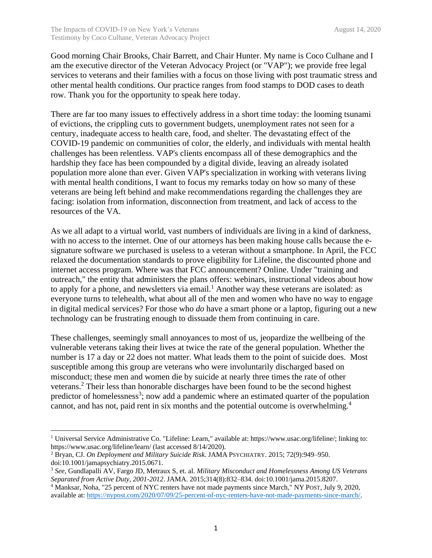Good morning Chair Brooks, Chair Barrett, and Chair Hunter. My name is Coco Culhane and I am the executive director of the Veteran Advocacy Project (or "VAP"); we provide free legal services to veterans and their families with a focus on those living with post traumatic stress and other mental health conditions. Our practice ranges from food stamps to DOD cases to death row. Thank you for the opportunity to speak here today.

There are far too many issues to effectively address in a short time today: the looming tsunami of evictions, the crippling cuts to government budgets, unemployment rates not seen for a century, inadequate access to health care, food, and shelter. The devastating effect of the COVID-19 pandemic on communities of color, the elderly, and individuals with mental health challenges has been relentless. VAP's clients encompass all of these demographics and the hardship they face has been compounded by a digital divide, leaving an already isolated population more alone than ever. Given VAP's specialization in working with veterans living with mental health conditions, I want to focus my remarks today on how so many of these veterans are being left behind and make recommendations regarding the challenges they are facing: isolation from information, disconnection from treatment, and lack of access to the resources of the VA.

As we all adapt to a virtual world, vast numbers of individuals are living in a kind of darkness, with no access to the internet. One of our attorneys has been making house calls because the esignature software we purchased is useless to a veteran without a smartphone. In April, the FCC relaxed the documentation standards to prove eligibility for Lifeline, the discounted phone and internet access program. Where was that FCC announcement? Online. Under "training and outreach," the entity that administers the plans offers: webinars, instructional videos about how to apply for a phone, and newsletters via email.<sup>1</sup> Another way these veterans are isolated: as everyone turns to telehealth, what about all of the men and women who have no way to engage in digital medical services? For those who *do* have a smart phone or a laptop, figuring out a new technology can be frustrating enough to dissuade them from continuing in care.

These challenges, seemingly small annoyances to most of us, jeopardize the wellbeing of the vulnerable veterans taking their lives at twice the rate of the general population. Whether the number is 17 a day or 22 does not matter. What leads them to the point of suicide does. Most susceptible among this group are veterans who were involuntarily discharged based on misconduct; these men and women die by suicide at nearly three times the rate of other veterans. <sup>2</sup> Their less than honorable discharges have been found to be the second highest predictor of homelessness<sup>3</sup>; now add a pandemic where an estimated quarter of the population cannot, and has not, paid rent in six months and the potential outcome is overwhelming.<sup>4</sup>

<sup>&</sup>lt;sup>1</sup> Universal Service Administrative Co. "Lifeline: Learn," available at: [https://www.usac.org/lifeline/;](https://www.usac.org/lifeline/) linking to: <https://www.usac.org/lifeline/learn/> (last accessed 8/14/2020).

<sup>2</sup> Bryan, CJ. *On Deployment and Military Suicide Risk*. JAMA PSYCHIATRY. 2015; 72(9):949–950. doi:10.1001/jamapsychiatry.2015.0671.

<sup>3</sup> *See*, Gundlapalli AV, Fargo JD, Metraux S, et. al. *Military Misconduct and Homelessness Among US Veterans Separated from Active Duty, 2001-2012*. JAMA. 2015;314(8):832–834. doi:10.1001/jama.2015.8207.

<sup>4</sup> Manksar, Noha, "25 percent of NYC renters have not made payments since March," NY POST, July 9, 2020, available at: [https://nypost.com/2020/07/09/25-percent-of-nyc-renters-have-not-made-payments-since-march/.](https://nypost.com/2020/07/09/25-percent-of-nyc-renters-have-not-made-payments-since-march/)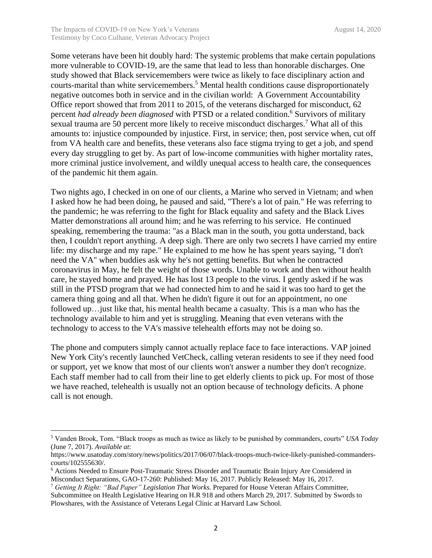Some veterans have been hit doubly hard: The systemic problems that make certain populations more vulnerable to COVID-19, are the same that lead to less than honorable discharges. One study showed that Black servicemembers were twice as likely to face disciplinary action and courts-marital than white servicemembers.<sup>5</sup> Mental health conditions cause disproportionately negative outcomes both in service and in the civilian world: A Government Accountability Office report showed that from 2011 to 2015, of the veterans discharged for misconduct, 62 percent *had already been diagnosed* with PTSD or a related condition.<sup>6</sup> Survivors of military sexual trauma are 50 percent more likely to receive misconduct discharges.<sup>7</sup> What all of this amounts to: injustice compounded by injustice. First, in service; then, post service when, cut off from VA health care and benefits, these veterans also face stigma trying to get a job, and spend every day struggling to get by. As part of low-income communities with higher mortality rates, more criminal justice involvement, and wildly unequal access to health care, the consequences of the pandemic hit them again.

Two nights ago, I checked in on one of our clients, a Marine who served in Vietnam; and when I asked how he had been doing, he paused and said, "There's a lot of pain." He was referring to the pandemic; he was referring to the fight for Black equality and safety and the Black Lives Matter demonstrations all around him; and he was referring to his service. He continued speaking, remembering the trauma: "as a Black man in the south, you gotta understand, back then, I couldn't report anything. A deep sigh. There are only two secrets I have carried my entire life: my discharge and my rape." He explained to me how he has spent years saying, "I don't need the VA" when buddies ask why he's not getting benefits. But when he contracted coronavirus in May, he felt the weight of those words. Unable to work and then without health care, he stayed home and prayed. He has lost 13 people to the virus. I gently asked if he was still in the PTSD program that we had connected him to and he said it was too hard to get the camera thing going and all that. When he didn't figure it out for an appointment, no one followed up... just like that, his mental health became a casualty. This is a man who has the technology available to him and yet is struggling. Meaning that even veterans with the technology to access to the VA's massive telehealth efforts may not be doing so.

The phone and computers simply cannot actually replace face to face interactions. VAP joined New York City's recently launched VetCheck, calling veteran residents to see if they need food or support, yet we know that most of our clients won't answer a number they don't recognize. Each staff member had to call from their line to get elderly clients to pick up. For most of those we have reached, telehealth is usually not an option because of technology deficits. A phone call is not enough.

<sup>5</sup> Vanden Brook, Tom. "Black troops as much as twice as likely to be punished by commanders, courts" *USA Today* (June 7, 2017). *Available at*:

https://www.usatoday.com/story/news/politics/2017/06/07/black-troops-much-twice-likely-punished-commanderscourts/102555630/.

<sup>6</sup> Actions Needed to Ensure Post-Traumatic Stress Disorder and Traumatic Brain Injury Are Considered in Misconduct Separations, GAO-17-260: Published: May 16, 2017. Publicly Released: May 16, 2017.

<sup>7</sup> *Getting It Right: "Bad Paper" Legislation That Works.* Prepared for House Veteran Affairs Committee, Subcommittee on Health Legislative Hearing on H.R 918 and others March 29, 2017. Submitted by Swords to Plowshares, with the Assistance of Veterans Legal Clinic at Harvard Law School.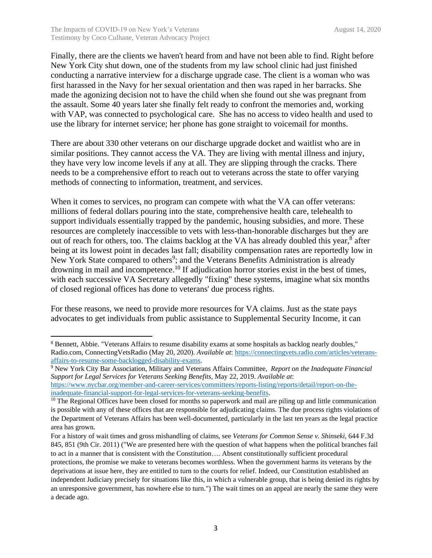Finally, there are the clients we haven't heard from and have not been able to find. Right before New York City shut down, one of the students from my law school clinic had just finished conducting a narrative interview for a discharge upgrade case. The client is a woman who was first harassed in the Navy for her sexual orientation and then was raped in her barracks. She made the agonizing decision not to have the child when she found out she was pregnant from the assault. Some 40 years later she finally felt ready to confront the memories and, working with VAP, was connected to psychological care. She has no access to video health and used to use the library for internet service; her phone has gone straight to voicemail for months.

There are about 330 other veterans on our discharge upgrade docket and waitlist who are in similar positions. They cannot access the VA. They are living with mental illness and injury, they have very low income levels if any at all. They are slipping through the cracks. There needs to be a comprehensive effort to reach out to veterans across the state to offer varying methods of connecting to information, treatment, and services.

When it comes to services, no program can compete with what the VA can offer veterans: millions of federal dollars pouring into the state, comprehensive health care, telehealth to support individuals essentially trapped by the pandemic, housing subsidies, and more. These resources are completely inaccessible to vets with less-than-honorable discharges but they are out of reach for others, too. The claims backlog at the VA has already doubled this year,<sup>8</sup> after being at its lowest point in decades last fall; disability compensation rates are reportedly low in New York State compared to others<sup>9</sup>; and the Veterans Benefits Administration is already drowning in mail and incompetence.<sup>10</sup> If adjudication horror stories exist in the best of times, with each successive VA Secretary allegedly "fixing" these systems, imagine what six months of closed regional offices has done to veterans' due process rights.

For these reasons, we need to provide more resources for VA claims. Just as the state pays advocates to get individuals from public assistance to Supplemental Security Income, it can

<sup>8</sup> Bennett, Abbie. "Veterans Affairs to resume disability exams at some hospitals as backlog nearly doubles," Radio.com, ConnectingVetsRadio (May 20, 2020). *Available at*: [https://connectingvets.radio.com/articles/veterans](https://connectingvets.radio.com/articles/veterans-affairs-to-resume-some-backlogged-disability-exams)[affairs-to-resume-some-backlogged-disability-exams.](https://connectingvets.radio.com/articles/veterans-affairs-to-resume-some-backlogged-disability-exams)

<sup>9</sup> New York City Bar Association, Military and Veterans Affairs Committee, *Report on the Inadequate Financial Support for Legal Services for Veterans Seeking Benefits,* May 22, 2019. *Available at*: [https://www.nycbar.org/member-and-career-services/committees/reports-listing/reports/detail/report-on-the](https://www.nycbar.org/member-and-career-services/committees/reports-listing/reports/detail/report-on-the-inadequate-financial-support-for-legal-services-for-veterans-seeking-benefits)[inadequate-financial-support-for-legal-services-for-veterans-seeking-benefits.](https://www.nycbar.org/member-and-career-services/committees/reports-listing/reports/detail/report-on-the-inadequate-financial-support-for-legal-services-for-veterans-seeking-benefits)

 $10$  The Regional Offices have been closed for months so paperwork and mail are piling up and little communication is possible with any of these offices that are responsible for adjudicating claims. The due process rights violations of the Department of Veterans Affairs has been well-documented, particularly in the last ten years as the legal practice area has grown.

For a history of wait times and gross mishandling of claims, see *Veterans for Common Sense v. Shinseki*, 644 F.3d 845, 851 (9th Cir. 2011) ("We are presented here with the question of what happens when the political branches fail to act in a manner that is consistent with the Constitution…. Absent constitutionally sufficient procedural protections, the promise we make to veterans becomes worthless. When the government harms its veterans by the deprivations at issue here, they are entitled to turn to the courts for relief. Indeed, our Constitution established an independent Judiciary precisely for situations like this, in which a vulnerable group, that is being denied its rights by an unresponsive government, has nowhere else to turn.") The wait times on an appeal are nearly the same they were a decade ago.